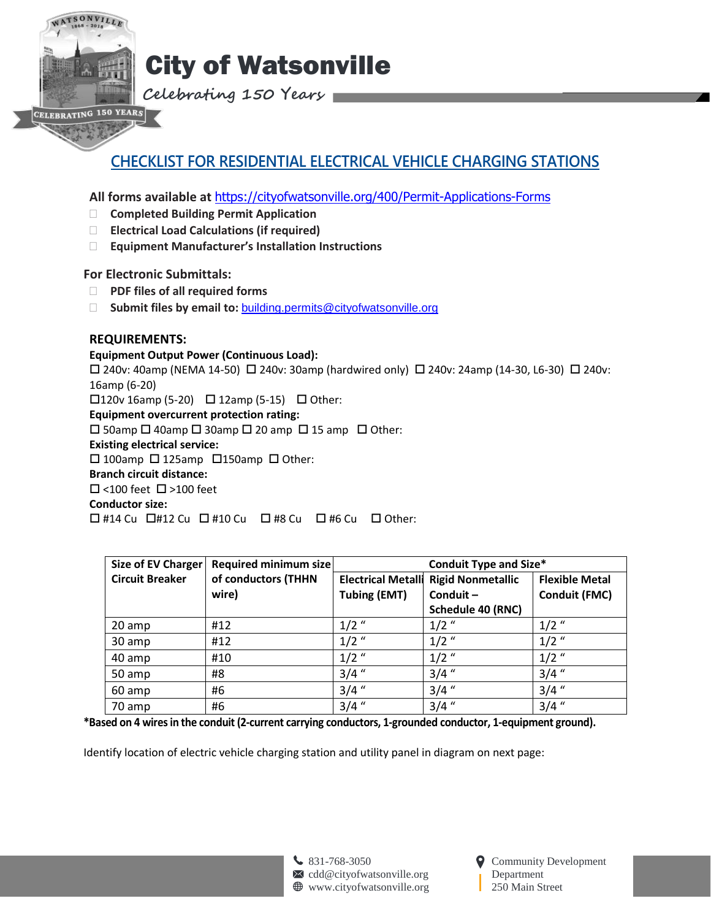

# City of Watsonville

**Celebrating 150 Years**

## **CHECKLIST FOR RESIDENTIAL ELECTRICAL VEHICLE CHARGING STATIONS**

**All forms available at** <https://cityofwatsonville.org/400/Permit-Applications-Forms>

- **Completed Building Permit Application**
- **Electrical Load Calculations (if required)**
- **Equipment Manufacturer's Installation Instructions**

## **For Electronic Submittals:**

- **PDF files of all required forms**
- □ **Submit files by email to: [building.permits@cityofwatsonville.org](mailto:building.permits@cityofwatsonville.org)**

## **REQUIREMENTS:**

## **Equipment Output Power (Continuous Load):**

 $\Box$  240v: 40amp (NEMA 14-50)  $\Box$  240v: 30amp (hardwired only)  $\Box$  240v: 24amp (14-30, L6-30)  $\Box$  240v: 16amp (6-20)  $\Box$ 120v 16amp (5-20)  $\Box$  12amp (5-15)  $\Box$  Other: **Equipment overcurrent protection rating:**  $\square$  50amp  $\square$  40amp  $\square$  30amp  $\square$  20 amp  $\square$  15 amp  $\square$  Other:

**Existing electrical service:**

 $\Box$  100amp  $\Box$  125amp  $\Box$  150amp  $\Box$  Other:

## **Branch circuit distance:**

 $\square$  <100 feet  $\square$  >100 feet

**Conductor size:**

 $\Box$  #14 Cu  $\Box$  #12 Cu  $\Box$  #10 Cu  $\Box$  #8 Cu  $\Box$  #6 Cu  $\Box$  Other:

| Size of EV Charger     | Required minimum size | <b>Conduit Type and Size*</b> |                          |                       |
|------------------------|-----------------------|-------------------------------|--------------------------|-----------------------|
| <b>Circuit Breaker</b> | of conductors (THHN   | <b>Electrical Metalli</b>     | <b>Rigid Nonmetallic</b> | <b>Flexible Metal</b> |
|                        | wire)                 | <b>Tubing (EMT)</b>           | Conduit-                 | <b>Conduit (FMC)</b>  |
|                        |                       |                               | Schedule 40 (RNC)        |                       |
| 20 amp                 | #12                   | $1/2$ "                       | $1/2$ "                  | $1/2$ "               |
| 30 amp                 | #12                   | $1/2$ "                       | $1/2$ "                  | $1/2$ "               |
| 40 amp                 | #10                   | $1/2$ "                       | $1/2$ "                  | $1/2$ "               |
| 50 amp                 | #8                    | $3/4$ "                       | $3/4$ "                  | $3/4$ "               |
| 60 amp                 | #6                    | $3/4$ "                       | $3/4$ "                  | $3/4$ "               |
| 70 amp                 | #6                    | $3/4$ "                       | $3/4$ "                  | $3/4$ "               |

**\*Based on 4 wires in the conduit (2-current carrying conductors, 1-grounded conductor, 1-equipment ground).**

Identify location of electric vehicle charging station and utility panel in diagram on next page:

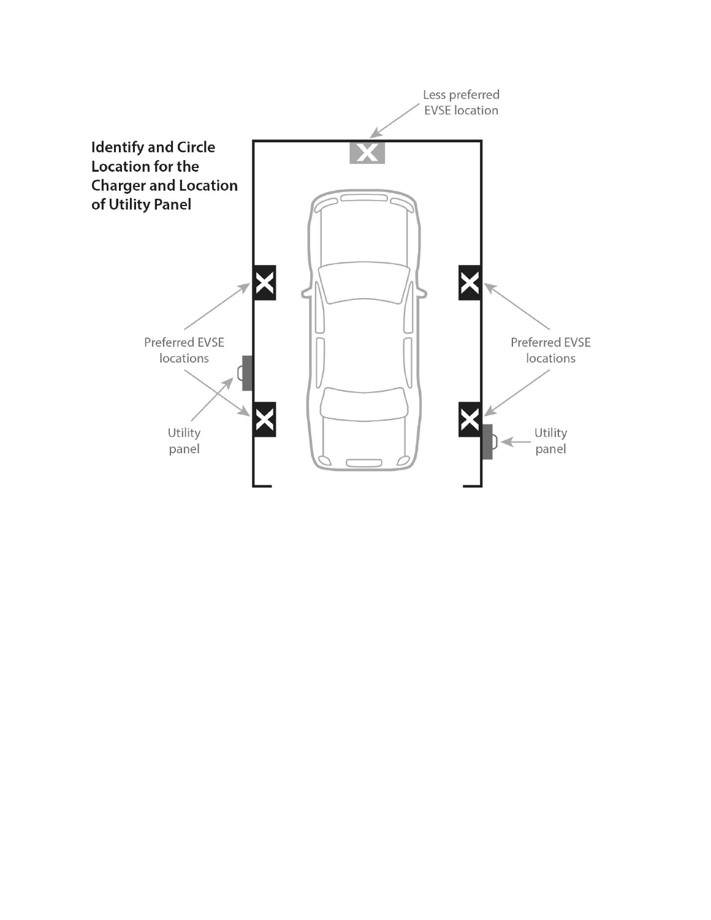